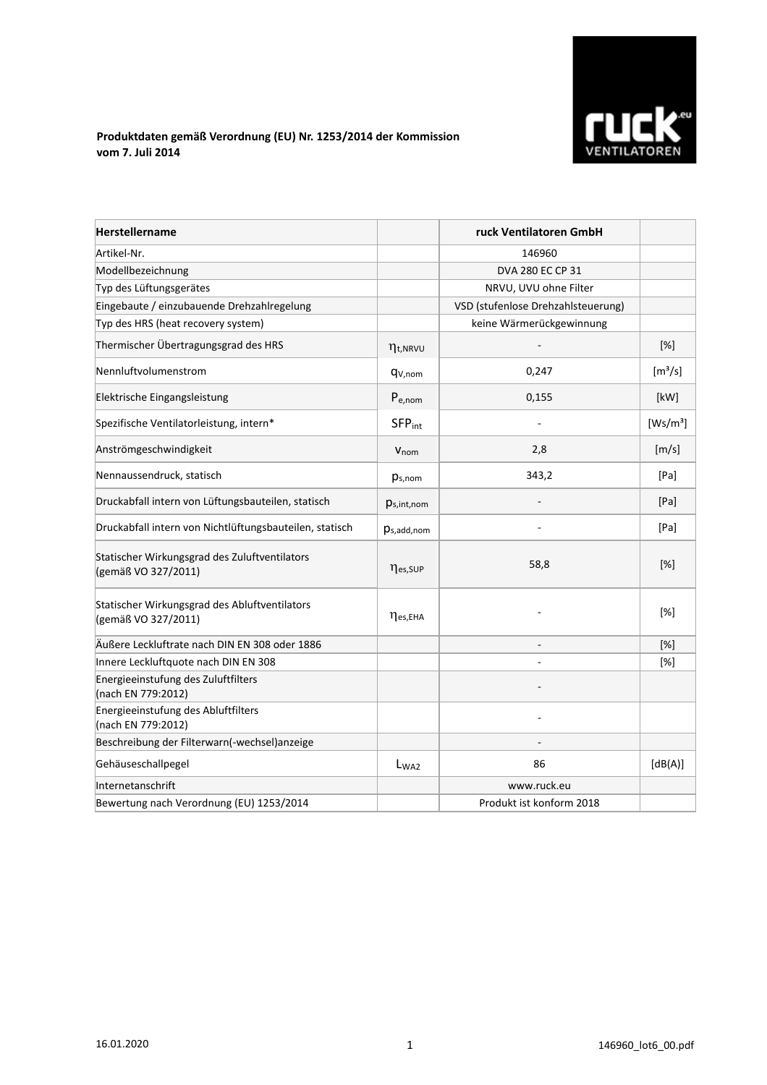

## **Produktdaten gemäß Verordnung (EU) Nr. 1253/2014 der Kommission vom 7. Juli 2014**

| <b>Herstellername</b>                                                |                           | ruck Ventilatoren GmbH             |                              |
|----------------------------------------------------------------------|---------------------------|------------------------------------|------------------------------|
| Artikel-Nr.                                                          |                           | 146960                             |                              |
| Modellbezeichnung                                                    |                           | DVA 280 EC CP 31                   |                              |
| Typ des Lüftungsgerätes                                              |                           | NRVU, UVU ohne Filter              |                              |
| Eingebaute / einzubauende Drehzahlregelung                           |                           | VSD (stufenlose Drehzahlsteuerung) |                              |
| Typ des HRS (heat recovery system)                                   |                           | keine Wärmerückgewinnung           |                              |
| Thermischer Übertragungsgrad des HRS                                 | $\eta_{t, NRVU}$          |                                    | $[\%]$                       |
| Nennluftvolumenstrom                                                 | q <sub>V,nom</sub>        | 0,247                              | $\left[\frac{m^3}{s}\right]$ |
| Elektrische Eingangsleistung                                         | $P_{e,nom}$               | 0,155                              | [kW]                         |
| Spezifische Ventilatorleistung, intern*                              | <b>SFP</b> <sub>int</sub> |                                    | [Ws/m <sup>3</sup> ]         |
| Anströmgeschwindigkeit                                               | $V_{nom}$                 | 2,8                                | [m/s]                        |
| Nennaussendruck, statisch                                            | $p_{s,nom}$               | 343,2                              | [Pa]                         |
| Druckabfall intern von Lüftungsbauteilen, statisch                   | $p_{s,int,nom}$           |                                    | [Pa]                         |
| Druckabfall intern von Nichtlüftungsbauteilen, statisch              | $p_{s,add,nom}$           |                                    | [Pa]                         |
| Statischer Wirkungsgrad des Zuluftventilators<br>(gemäß VO 327/2011) | nes, SUP                  | 58,8                               | $[\%]$                       |
| Statischer Wirkungsgrad des Abluftventilators<br>(gemäß VO 327/2011) | $\eta_{es,EHA}$           |                                    | [%]                          |
| Äußere Leckluftrate nach DIN EN 308 oder 1886                        |                           |                                    | [%]                          |
| Innere Leckluftquote nach DIN EN 308                                 |                           |                                    | [%]                          |
| Energieeinstufung des Zuluftfilters<br>(nach EN 779:2012)            |                           |                                    |                              |
| Energieeinstufung des Abluftfilters<br>(nach EN 779:2012)            |                           |                                    |                              |
| Beschreibung der Filterwarn(-wechsel)anzeige                         |                           |                                    |                              |
| Gehäuseschallpegel                                                   | L <sub>WA2</sub>          | 86                                 | [dB(A)]                      |
| Internetanschrift                                                    |                           | www.ruck.eu                        |                              |
| Bewertung nach Verordnung (EU) 1253/2014                             |                           | Produkt ist konform 2018           |                              |